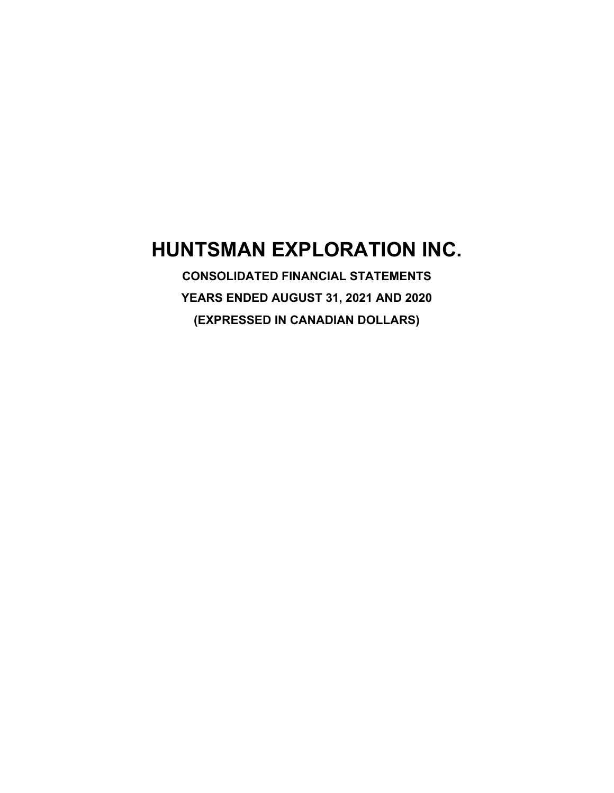# **HUNTSMAN EXPLORATION INC.**

**CONSOLIDATED FINANCIAL STATEMENTS YEARS ENDED AUGUST 31, 2021 AND 2020 (EXPRESSED IN CANADIAN DOLLARS)**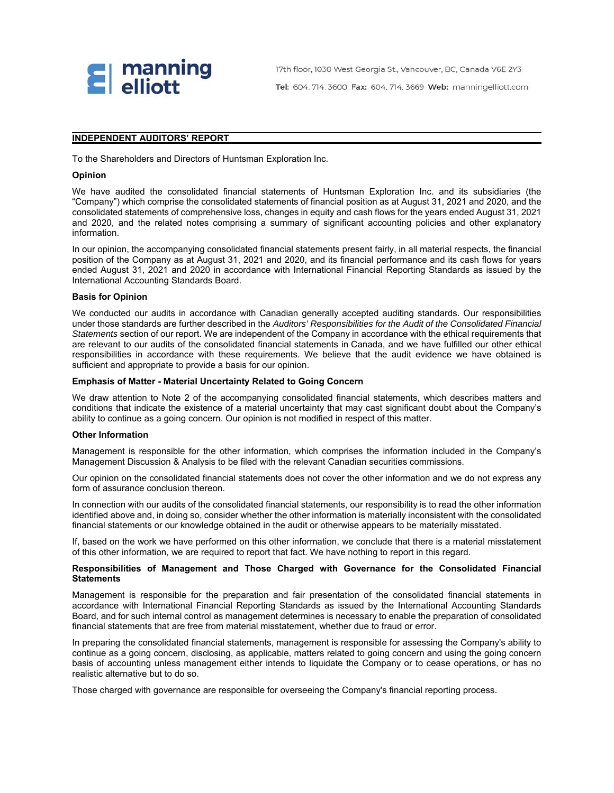

#### **INDEPENDENT AUDITORS' REPORT**

To the Shareholders and Directors of Huntsman Exploration Inc.

#### **Opinion**

We have audited the consolidated financial statements of Huntsman Exploration Inc. and its subsidiaries (the "Company") which comprise the consolidated statements of financial position as at August 31, 2021 and 2020, and the consolidated statements of comprehensive loss, changes in equity and cash flows for the years ended August 31, 2021 and 2020, and the related notes comprising a summary of significant accounting policies and other explanatory information.

In our opinion, the accompanying consolidated financial statements present fairly, in all material respects, the financial position of the Company as at August 31, 2021 and 2020, and its financial performance and its cash flows for years ended August 31, 2021 and 2020 in accordance with International Financial Reporting Standards as issued by the International Accounting Standards Board.

#### **Basis for Opinion**

We conducted our audits in accordance with Canadian generally accepted auditing standards. Our responsibilities under those standards are further described in the *Auditors' Responsibilities for the Audit of the Consolidated Financial Statements* section of our report. We are independent of the Company in accordance with the ethical requirements that are relevant to our audits of the consolidated financial statements in Canada, and we have fulfilled our other ethical responsibilities in accordance with these requirements. We believe that the audit evidence we have obtained is sufficient and appropriate to provide a basis for our opinion.

#### **Emphasis of Matter - Material Uncertainty Related to Going Concern**

We draw attention to Note 2 of the accompanying consolidated financial statements, which describes matters and conditions that indicate the existence of a material uncertainty that may cast significant doubt about the Company's ability to continue as a going concern. Our opinion is not modified in respect of this matter.

#### **Other Information**

Management is responsible for the other information, which comprises the information included in the Company's Management Discussion & Analysis to be filed with the relevant Canadian securities commissions.

Our opinion on the consolidated financial statements does not cover the other information and we do not express any form of assurance conclusion thereon.

In connection with our audits of the consolidated financial statements, our responsibility is to read the other information identified above and, in doing so, consider whether the other information is materially inconsistent with the consolidated financial statements or our knowledge obtained in the audit or otherwise appears to be materially misstated.

If, based on the work we have performed on this other information, we conclude that there is a material misstatement of this other information, we are required to report that fact. We have nothing to report in this regard.

#### **Responsibilities of Management and Those Charged with Governance for the Consolidated Financial Statements**

Management is responsible for the preparation and fair presentation of the consolidated financial statements in accordance with International Financial Reporting Standards as issued by the International Accounting Standards Board, and for such internal control as management determines is necessary to enable the preparation of consolidated financial statements that are free from material misstatement, whether due to fraud or error.

In preparing the consolidated financial statements, management is responsible for assessing the Company's ability to continue as a going concern, disclosing, as applicable, matters related to going concern and using the going concern basis of accounting unless management either intends to liquidate the Company or to cease operations, or has no realistic alternative but to do so.

Those charged with governance are responsible for overseeing the Company's financial reporting process.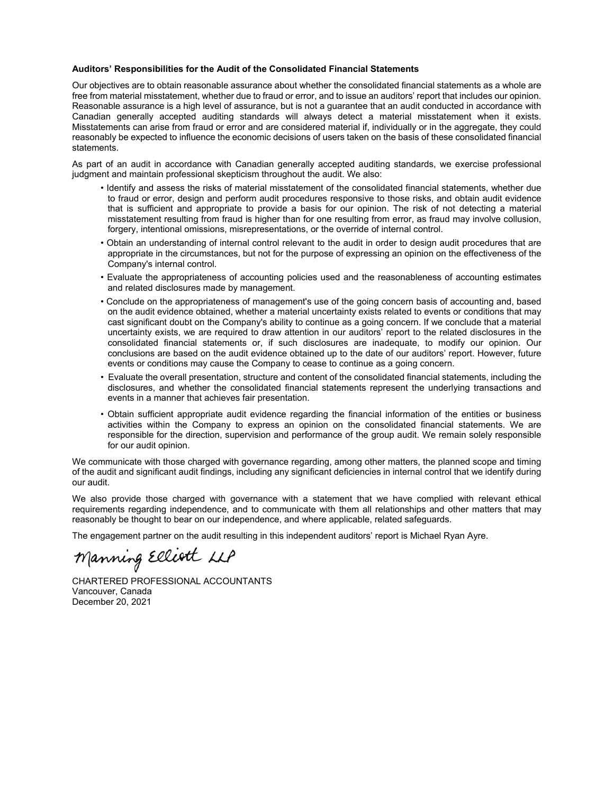#### **Auditors' Responsibilities for the Audit of the Consolidated Financial Statements**

Our objectives are to obtain reasonable assurance about whether the consolidated financial statements as a whole are free from material misstatement, whether due to fraud or error, and to issue an auditors' report that includes our opinion. Reasonable assurance is a high level of assurance, but is not a guarantee that an audit conducted in accordance with Canadian generally accepted auditing standards will always detect a material misstatement when it exists. Misstatements can arise from fraud or error and are considered material if, individually or in the aggregate, they could reasonably be expected to influence the economic decisions of users taken on the basis of these consolidated financial statements.

As part of an audit in accordance with Canadian generally accepted auditing standards, we exercise professional judgment and maintain professional skepticism throughout the audit. We also:

- Identify and assess the risks of material misstatement of the consolidated financial statements, whether due to fraud or error, design and perform audit procedures responsive to those risks, and obtain audit evidence that is sufficient and appropriate to provide a basis for our opinion. The risk of not detecting a material misstatement resulting from fraud is higher than for one resulting from error, as fraud may involve collusion, forgery, intentional omissions, misrepresentations, or the override of internal control.
- Obtain an understanding of internal control relevant to the audit in order to design audit procedures that are appropriate in the circumstances, but not for the purpose of expressing an opinion on the effectiveness of the Company's internal control.
- Evaluate the appropriateness of accounting policies used and the reasonableness of accounting estimates and related disclosures made by management.
- Conclude on the appropriateness of management's use of the going concern basis of accounting and, based on the audit evidence obtained, whether a material uncertainty exists related to events or conditions that may cast significant doubt on the Company's ability to continue as a going concern. If we conclude that a material uncertainty exists, we are required to draw attention in our auditors' report to the related disclosures in the consolidated financial statements or, if such disclosures are inadequate, to modify our opinion. Our conclusions are based on the audit evidence obtained up to the date of our auditors' report. However, future events or conditions may cause the Company to cease to continue as a going concern.
- Evaluate the overall presentation, structure and content of the consolidated financial statements, including the disclosures, and whether the consolidated financial statements represent the underlying transactions and events in a manner that achieves fair presentation.
- Obtain sufficient appropriate audit evidence regarding the financial information of the entities or business activities within the Company to express an opinion on the consolidated financial statements. We are responsible for the direction, supervision and performance of the group audit. We remain solely responsible for our audit opinion.

We communicate with those charged with governance regarding, among other matters, the planned scope and timing of the audit and significant audit findings, including any significant deficiencies in internal control that we identify during our audit.

We also provide those charged with governance with a statement that we have complied with relevant ethical requirements regarding independence, and to communicate with them all relationships and other matters that may reasonably be thought to bear on our independence, and where applicable, related safeguards.

The engagement partner on the audit resulting in this independent auditors' report is Michael Ryan Ayre.

Manning Elliott LLP

CHARTERED PROFESSIONAL ACCOUNTANTS Vancouver, Canada December 20, 2021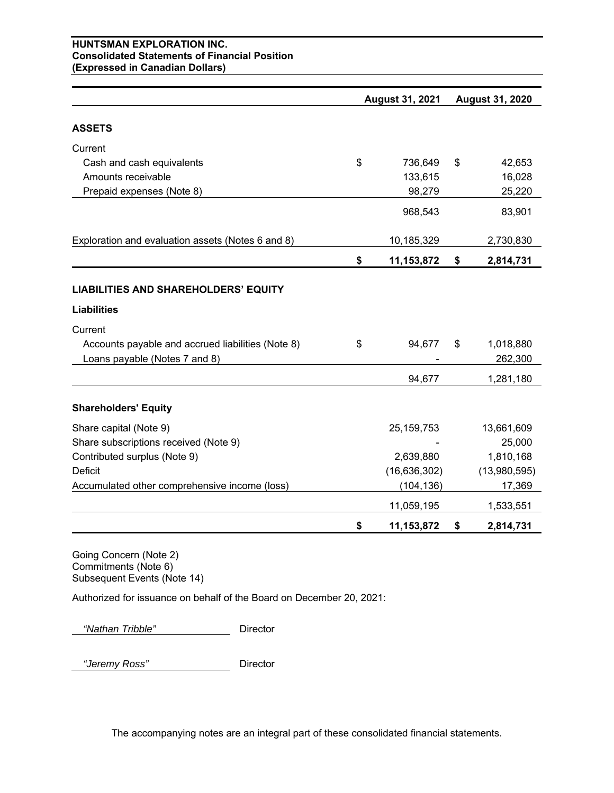## **HUNTSMAN EXPLORATION INC. Consolidated Statements of Financial Position (Expressed in Canadian Dollars)**

|                                                   | <b>August 31, 2021</b> | <b>August 31, 2020</b> |              |  |
|---------------------------------------------------|------------------------|------------------------|--------------|--|
| <b>ASSETS</b>                                     |                        |                        |              |  |
|                                                   |                        |                        |              |  |
| Current                                           |                        |                        |              |  |
| Cash and cash equivalents                         | \$<br>736,649          | \$                     | 42,653       |  |
| Amounts receivable                                | 133,615                |                        | 16,028       |  |
| Prepaid expenses (Note 8)                         | 98,279                 |                        | 25,220       |  |
|                                                   | 968,543                |                        | 83,901       |  |
| Exploration and evaluation assets (Notes 6 and 8) | 10,185,329             |                        | 2,730,830    |  |
|                                                   | \$<br>11,153,872       | \$                     | 2,814,731    |  |
| <b>LIABILITIES AND SHAREHOLDERS' EQUITY</b>       |                        |                        |              |  |
| <b>Liabilities</b>                                |                        |                        |              |  |
| Current                                           |                        |                        |              |  |
| Accounts payable and accrued liabilities (Note 8) | \$<br>94,677           | \$                     | 1,018,880    |  |
| Loans payable (Notes 7 and 8)                     |                        |                        | 262,300      |  |
|                                                   | 94,677                 |                        | 1,281,180    |  |
| <b>Shareholders' Equity</b>                       |                        |                        |              |  |
| Share capital (Note 9)                            | 25, 159, 753           |                        | 13,661,609   |  |
| Share subscriptions received (Note 9)             |                        |                        | 25,000       |  |
| Contributed surplus (Note 9)                      | 2,639,880              |                        | 1,810,168    |  |
| <b>Deficit</b>                                    | (16, 636, 302)         |                        | (13,980,595) |  |
| Accumulated other comprehensive income (loss)     | (104, 136)             |                        | 17,369       |  |
|                                                   | 11,059,195             |                        | 1,533,551    |  |
|                                                   | \$<br>11,153,872       | \$                     | 2,814,731    |  |

Going Concern (Note 2) Commitments (Note 6) Subsequent Events (Note 14)

Authorized for issuance on behalf of the Board on December 20, 2021:

 *"Nathan Tribble"* Director

 *"Jeremy Ross"* Director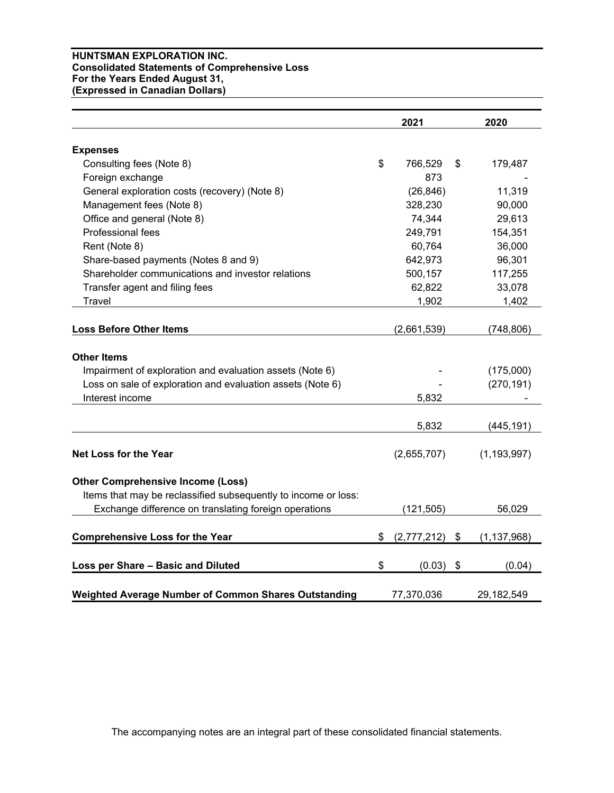# **HUNTSMAN EXPLORATION INC. Consolidated Statements of Comprehensive Loss For the Years Ended August 31, (Expressed in Canadian Dollars)**

|                                                                               |    | 2021        |    | 2020          |
|-------------------------------------------------------------------------------|----|-------------|----|---------------|
|                                                                               |    |             |    |               |
| <b>Expenses</b>                                                               |    |             |    |               |
| Consulting fees (Note 8)                                                      | \$ | 766,529     | S  | 179,487       |
| Foreign exchange                                                              |    | 873         |    |               |
| General exploration costs (recovery) (Note 8)                                 |    | (26, 846)   |    | 11,319        |
| Management fees (Note 8)                                                      |    | 328,230     |    | 90,000        |
| Office and general (Note 8)                                                   |    | 74,344      |    | 29,613        |
| Professional fees                                                             |    | 249,791     |    | 154,351       |
| Rent (Note 8)                                                                 |    | 60,764      |    | 36,000        |
| Share-based payments (Notes 8 and 9)                                          |    | 642,973     |    | 96,301        |
| Shareholder communications and investor relations                             |    | 500,157     |    | 117,255       |
| Transfer agent and filing fees                                                |    | 62,822      |    | 33,078        |
| Travel                                                                        |    | 1,902       |    | 1,402         |
| <b>Loss Before Other Items</b>                                                |    | (2,661,539) |    | (748, 806)    |
| <b>Other Items</b>                                                            |    |             |    |               |
| Impairment of exploration and evaluation assets (Note 6)                      |    |             |    | (175,000)     |
| Loss on sale of exploration and evaluation assets (Note 6)<br>Interest income |    | 5,832       |    | (270, 191)    |
|                                                                               |    |             |    |               |
|                                                                               |    | 5,832       |    | (445, 191)    |
| <b>Net Loss for the Year</b>                                                  |    | (2,655,707) |    | (1, 193, 997) |
| <b>Other Comprehensive Income (Loss)</b>                                      |    |             |    |               |
| Items that may be reclassified subsequently to income or loss:                |    |             |    |               |
| Exchange difference on translating foreign operations                         |    | (121, 505)  |    | 56,029        |
| <b>Comprehensive Loss for the Year</b>                                        | S  | (2,777,212) | \$ | (1, 137, 968) |
| Loss per Share - Basic and Diluted                                            | \$ | (0.03)      | \$ | (0.04)        |
| <b>Weighted Average Number of Common Shares Outstanding</b>                   |    | 77,370,036  |    | 29,182,549    |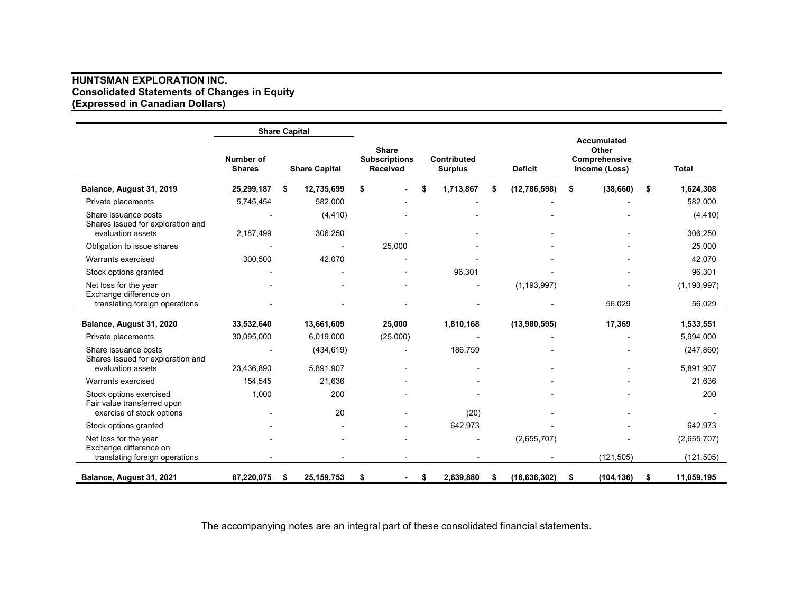# **HUNTSMAN EXPLORATION INC. Consolidated Statements of Changes in Equity (Expressed in Canadian Dollars)**

|                                                                                   | <b>Share Capital</b>       |    |                      |    |                                                  |    |                                      |   |                                                                                 |    |              |    |                           |
|-----------------------------------------------------------------------------------|----------------------------|----|----------------------|----|--------------------------------------------------|----|--------------------------------------|---|---------------------------------------------------------------------------------|----|--------------|----|---------------------------|
|                                                                                   | Number of<br><b>Shares</b> |    | <b>Share Capital</b> |    | <b>Share</b><br><b>Subscriptions</b><br>Received |    | <b>Contributed</b><br><b>Surplus</b> |   | <b>Accumulated</b><br>Other<br>Comprehensive<br><b>Deficit</b><br>Income (Loss) |    | <b>Total</b> |    |                           |
| Balance, August 31, 2019                                                          | 25,299,187                 | \$ | 12,735,699           | \$ |                                                  | \$ | 1,713,867                            | S | (12,786,598)                                                                    | \$ | (38, 660)    | \$ | 1,624,308                 |
| Private placements                                                                | 5,745,454                  |    | 582,000              |    |                                                  |    |                                      |   |                                                                                 |    |              |    | 582,000                   |
| Share issuance costs<br>Shares issued for exploration and<br>evaluation assets    | 2,187,499                  |    | (4, 410)<br>306,250  |    |                                                  |    |                                      |   |                                                                                 |    |              |    | (4, 410)                  |
|                                                                                   |                            |    |                      |    |                                                  |    |                                      |   |                                                                                 |    |              |    | 306,250                   |
| Obligation to issue shares                                                        |                            |    |                      |    | 25,000                                           |    |                                      |   |                                                                                 |    |              |    | 25,000                    |
| Warrants exercised                                                                | 300,500                    |    | 42,070               |    |                                                  |    |                                      |   |                                                                                 |    |              |    | 42,070                    |
| Stock options granted                                                             |                            |    |                      |    |                                                  |    | 96,301                               |   |                                                                                 |    |              |    | 96,301                    |
| Net loss for the year<br>Exchange difference on<br>translating foreign operations |                            |    |                      |    |                                                  |    |                                      |   | (1, 193, 997)                                                                   |    | 56,029       |    | (1, 193, 997)<br>56,029   |
| Balance, August 31, 2020                                                          | 33,532,640                 |    | 13,661,609           |    | 25,000                                           |    | 1,810,168                            |   | (13,980,595)                                                                    |    | 17,369       |    | 1,533,551                 |
| Private placements                                                                | 30,095,000                 |    | 6,019,000            |    | (25,000)                                         |    |                                      |   |                                                                                 |    |              |    | 5,994,000                 |
| Share issuance costs<br>Shares issued for exploration and                         |                            |    | (434, 619)           |    |                                                  |    | 186,759                              |   |                                                                                 |    |              |    | (247, 860)                |
| evaluation assets                                                                 | 23,436,890                 |    | 5,891,907            |    |                                                  |    |                                      |   |                                                                                 |    |              |    | 5,891,907                 |
| Warrants exercised                                                                | 154,545                    |    | 21,636               |    |                                                  |    |                                      |   |                                                                                 |    |              |    | 21,636                    |
| Stock options exercised<br>Fair value transferred upon                            | 1,000                      |    | 200                  |    |                                                  |    |                                      |   |                                                                                 |    |              |    | 200                       |
| exercise of stock options                                                         |                            |    | 20                   |    |                                                  |    | (20)                                 |   |                                                                                 |    |              |    |                           |
| Stock options granted                                                             |                            |    |                      |    |                                                  |    | 642,973                              |   |                                                                                 |    |              |    | 642,973                   |
| Net loss for the year<br>Exchange difference on<br>translating foreign operations |                            |    |                      |    |                                                  |    |                                      |   | (2,655,707)                                                                     |    | (121, 505)   |    | (2,655,707)<br>(121, 505) |
|                                                                                   |                            |    |                      |    |                                                  |    |                                      |   |                                                                                 |    |              |    |                           |
| Balance, August 31, 2021                                                          | 87,220,075                 | S  | 25, 159, 753         | S  |                                                  | \$ | 2,639,880                            | S | (16, 636, 302)                                                                  | S  | (104, 136)   | \$ | 11,059,195                |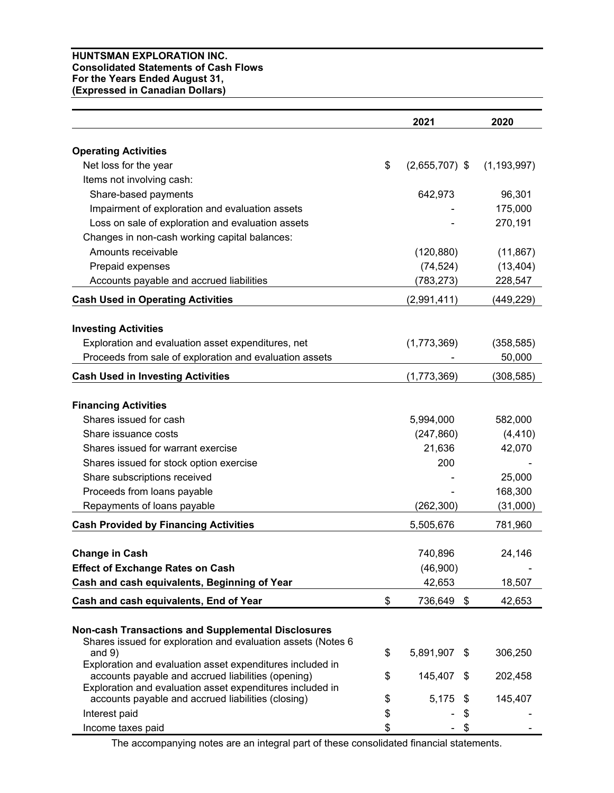# **HUNTSMAN EXPLORATION INC. Consolidated Statements of Cash Flows For the Years Ended August 31, (Expressed in Canadian Dollars)**

|                                                                                                                           | 2021                   | 2020          |
|---------------------------------------------------------------------------------------------------------------------------|------------------------|---------------|
| <b>Operating Activities</b>                                                                                               |                        |               |
| Net loss for the year                                                                                                     | \$<br>$(2,655,707)$ \$ | (1, 193, 997) |
| Items not involving cash:                                                                                                 |                        |               |
| Share-based payments                                                                                                      | 642,973                | 96,301        |
| Impairment of exploration and evaluation assets                                                                           |                        | 175,000       |
|                                                                                                                           |                        | 270,191       |
| Loss on sale of exploration and evaluation assets                                                                         |                        |               |
| Changes in non-cash working capital balances:<br>Amounts receivable                                                       |                        |               |
|                                                                                                                           | (120, 880)             | (11, 867)     |
| Prepaid expenses                                                                                                          | (74, 524)              | (13, 404)     |
| Accounts payable and accrued liabilities                                                                                  | (783, 273)             | 228,547       |
| <b>Cash Used in Operating Activities</b>                                                                                  | (2,991,411)            | (449, 229)    |
| <b>Investing Activities</b>                                                                                               |                        |               |
| Exploration and evaluation asset expenditures, net                                                                        | (1,773,369)            | (358, 585)    |
| Proceeds from sale of exploration and evaluation assets                                                                   |                        | 50,000        |
| <b>Cash Used in Investing Activities</b>                                                                                  | (1,773,369)            | (308, 585)    |
|                                                                                                                           |                        |               |
| <b>Financing Activities</b>                                                                                               |                        |               |
| Shares issued for cash                                                                                                    | 5,994,000              | 582,000       |
| Share issuance costs                                                                                                      | (247, 860)             | (4, 410)      |
| Shares issued for warrant exercise                                                                                        | 21,636                 | 42,070        |
| Shares issued for stock option exercise                                                                                   | 200                    |               |
| Share subscriptions received                                                                                              |                        | 25,000        |
| Proceeds from loans payable                                                                                               |                        | 168,300       |
| Repayments of loans payable                                                                                               | (262, 300)             | (31,000)      |
| <b>Cash Provided by Financing Activities</b>                                                                              | 5,505,676              | 781,960       |
|                                                                                                                           |                        |               |
| <b>Change in Cash</b>                                                                                                     | 740,896                | 24,146        |
| <b>Effect of Exchange Rates on Cash</b>                                                                                   | (46,900)               |               |
| Cash and cash equivalents, Beginning of Year                                                                              | 42,653                 | 18,507        |
| Cash and cash equivalents, End of Year                                                                                    | \$<br>736,649 \$       | 42,653        |
|                                                                                                                           |                        |               |
| <b>Non-cash Transactions and Supplemental Disclosures</b><br>Shares issued for exploration and evaluation assets (Notes 6 |                        |               |
| and $9)$                                                                                                                  | \$<br>5,891,907<br>S   | 306,250       |
| Exploration and evaluation asset expenditures included in                                                                 |                        |               |
| accounts payable and accrued liabilities (opening)                                                                        | \$<br>145,407<br>S     | 202,458       |
| Exploration and evaluation asset expenditures included in                                                                 |                        |               |
| accounts payable and accrued liabilities (closing)                                                                        | \$<br>5,175<br>\$      | 145,407       |
| Interest paid                                                                                                             | \$<br>\$               |               |
| Income taxes paid                                                                                                         | \$<br>\$               |               |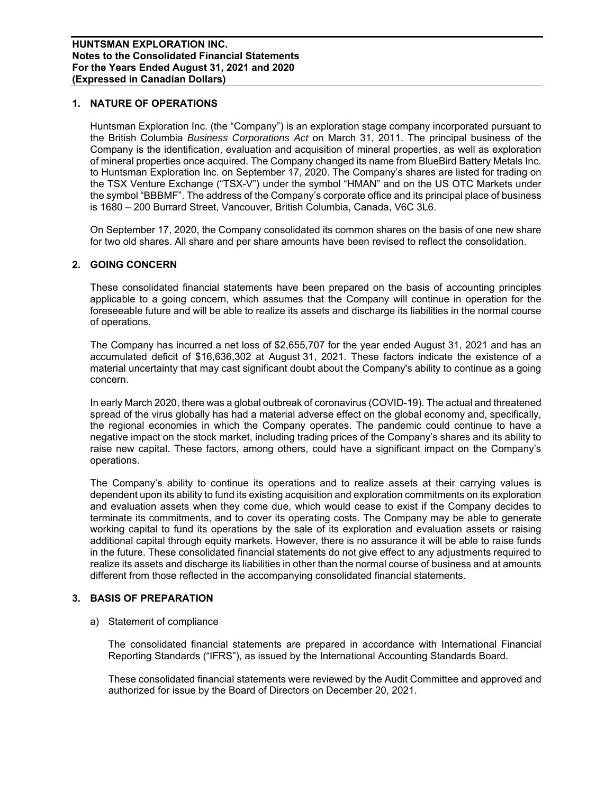## **1. NATURE OF OPERATIONS**

Huntsman Exploration Inc. (the "Company") is an exploration stage company incorporated pursuant to the British Columbia *Business Corporations Act* on March 31, 2011. The principal business of the Company is the identification, evaluation and acquisition of mineral properties, as well as exploration of mineral properties once acquired. The Company changed its name from BlueBird Battery Metals Inc. to Huntsman Exploration Inc. on September 17, 2020. The Company's shares are listed for trading on the TSX Venture Exchange ("TSX-V") under the symbol "HMAN" and on the US OTC Markets under the symbol "BBBMF". The address of the Company's corporate office and its principal place of business is 1680 – 200 Burrard Street, Vancouver, British Columbia, Canada, V6C 3L6.

On September 17, 2020, the Company consolidated its common shares on the basis of one new share for two old shares. All share and per share amounts have been revised to reflect the consolidation.

# **2. GOING CONCERN**

These consolidated financial statements have been prepared on the basis of accounting principles applicable to a going concern, which assumes that the Company will continue in operation for the foreseeable future and will be able to realize its assets and discharge its liabilities in the normal course of operations.

The Company has incurred a net loss of \$2,655,707 for the year ended August 31, 2021 and has an accumulated deficit of \$16,636,302 at August 31, 2021. These factors indicate the existence of a material uncertainty that may cast significant doubt about the Company's ability to continue as a going concern.

In early March 2020, there was a global outbreak of coronavirus (COVID-19). The actual and threatened spread of the virus globally has had a material adverse effect on the global economy and, specifically, the regional economies in which the Company operates. The pandemic could continue to have a negative impact on the stock market, including trading prices of the Company's shares and its ability to raise new capital. These factors, among others, could have a significant impact on the Company's operations.

The Company's ability to continue its operations and to realize assets at their carrying values is dependent upon its ability to fund its existing acquisition and exploration commitments on its exploration and evaluation assets when they come due, which would cease to exist if the Company decides to terminate its commitments, and to cover its operating costs. The Company may be able to generate working capital to fund its operations by the sale of its exploration and evaluation assets or raising additional capital through equity markets. However, there is no assurance it will be able to raise funds in the future. These consolidated financial statements do not give effect to any adjustments required to realize its assets and discharge its liabilities in other than the normal course of business and at amounts different from those reflected in the accompanying consolidated financial statements.

#### **3. BASIS OF PREPARATION**

### a) Statement of compliance

The consolidated financial statements are prepared in accordance with International Financial Reporting Standards ("IFRS"), as issued by the International Accounting Standards Board.

These consolidated financial statements were reviewed by the Audit Committee and approved and authorized for issue by the Board of Directors on December 20, 2021.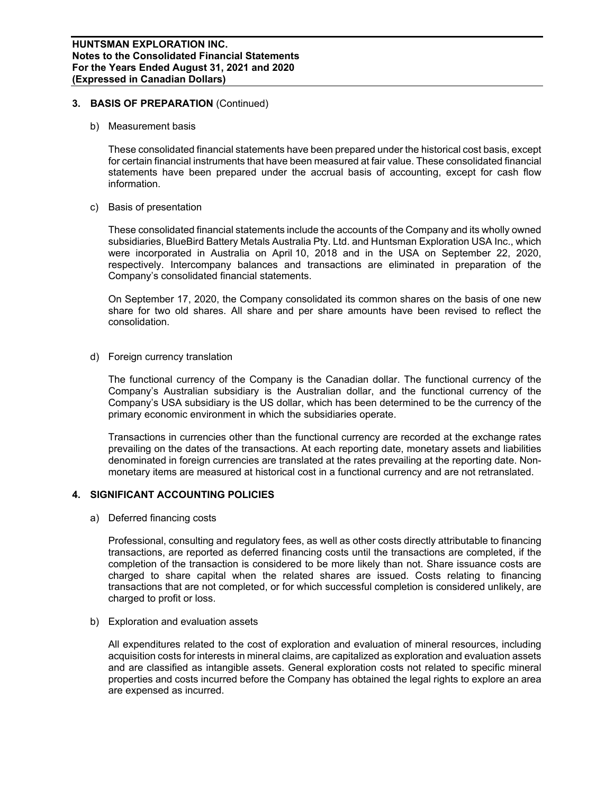## **3. BASIS OF PREPARATION** (Continued)

b) Measurement basis

These consolidated financial statements have been prepared under the historical cost basis, except for certain financial instruments that have been measured at fair value. These consolidated financial statements have been prepared under the accrual basis of accounting, except for cash flow information.

c) Basis of presentation

These consolidated financial statements include the accounts of the Company and its wholly owned subsidiaries, BlueBird Battery Metals Australia Pty. Ltd. and Huntsman Exploration USA Inc., which were incorporated in Australia on April 10, 2018 and in the USA on September 22, 2020, respectively. Intercompany balances and transactions are eliminated in preparation of the Company's consolidated financial statements.

On September 17, 2020, the Company consolidated its common shares on the basis of one new share for two old shares. All share and per share amounts have been revised to reflect the consolidation.

d) Foreign currency translation

The functional currency of the Company is the Canadian dollar. The functional currency of the Company's Australian subsidiary is the Australian dollar, and the functional currency of the Company's USA subsidiary is the US dollar, which has been determined to be the currency of the primary economic environment in which the subsidiaries operate.

Transactions in currencies other than the functional currency are recorded at the exchange rates prevailing on the dates of the transactions. At each reporting date, monetary assets and liabilities denominated in foreign currencies are translated at the rates prevailing at the reporting date. Nonmonetary items are measured at historical cost in a functional currency and are not retranslated.

# **4. SIGNIFICANT ACCOUNTING POLICIES**

a) Deferred financing costs

Professional, consulting and regulatory fees, as well as other costs directly attributable to financing transactions, are reported as deferred financing costs until the transactions are completed, if the completion of the transaction is considered to be more likely than not. Share issuance costs are charged to share capital when the related shares are issued. Costs relating to financing transactions that are not completed, or for which successful completion is considered unlikely, are charged to profit or loss.

b) Exploration and evaluation assets

All expenditures related to the cost of exploration and evaluation of mineral resources, including acquisition costs for interests in mineral claims, are capitalized as exploration and evaluation assets and are classified as intangible assets. General exploration costs not related to specific mineral properties and costs incurred before the Company has obtained the legal rights to explore an area are expensed as incurred.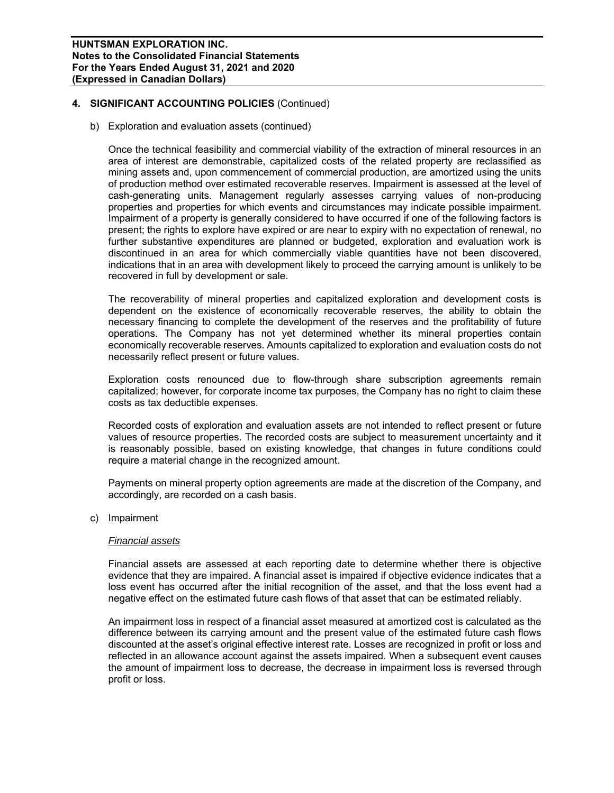b) Exploration and evaluation assets (continued)

Once the technical feasibility and commercial viability of the extraction of mineral resources in an area of interest are demonstrable, capitalized costs of the related property are reclassified as mining assets and, upon commencement of commercial production, are amortized using the units of production method over estimated recoverable reserves. Impairment is assessed at the level of cash-generating units. Management regularly assesses carrying values of non-producing properties and properties for which events and circumstances may indicate possible impairment. Impairment of a property is generally considered to have occurred if one of the following factors is present; the rights to explore have expired or are near to expiry with no expectation of renewal, no further substantive expenditures are planned or budgeted, exploration and evaluation work is discontinued in an area for which commercially viable quantities have not been discovered, indications that in an area with development likely to proceed the carrying amount is unlikely to be recovered in full by development or sale.

The recoverability of mineral properties and capitalized exploration and development costs is dependent on the existence of economically recoverable reserves, the ability to obtain the necessary financing to complete the development of the reserves and the profitability of future operations. The Company has not yet determined whether its mineral properties contain economically recoverable reserves. Amounts capitalized to exploration and evaluation costs do not necessarily reflect present or future values.

Exploration costs renounced due to flow-through share subscription agreements remain capitalized; however, for corporate income tax purposes, the Company has no right to claim these costs as tax deductible expenses.

Recorded costs of exploration and evaluation assets are not intended to reflect present or future values of resource properties. The recorded costs are subject to measurement uncertainty and it is reasonably possible, based on existing knowledge, that changes in future conditions could require a material change in the recognized amount.

Payments on mineral property option agreements are made at the discretion of the Company, and accordingly, are recorded on a cash basis.

c) Impairment

#### *Financial assets*

Financial assets are assessed at each reporting date to determine whether there is objective evidence that they are impaired. A financial asset is impaired if objective evidence indicates that a loss event has occurred after the initial recognition of the asset, and that the loss event had a negative effect on the estimated future cash flows of that asset that can be estimated reliably.

An impairment loss in respect of a financial asset measured at amortized cost is calculated as the difference between its carrying amount and the present value of the estimated future cash flows discounted at the asset's original effective interest rate. Losses are recognized in profit or loss and reflected in an allowance account against the assets impaired. When a subsequent event causes the amount of impairment loss to decrease, the decrease in impairment loss is reversed through profit or loss.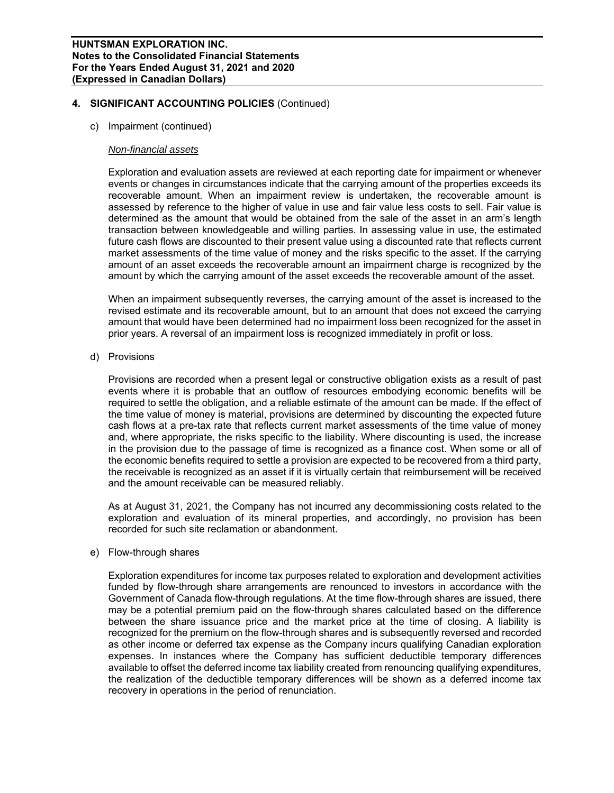c) Impairment (continued)

## *Non-financial assets*

Exploration and evaluation assets are reviewed at each reporting date for impairment or whenever events or changes in circumstances indicate that the carrying amount of the properties exceeds its recoverable amount. When an impairment review is undertaken, the recoverable amount is assessed by reference to the higher of value in use and fair value less costs to sell. Fair value is determined as the amount that would be obtained from the sale of the asset in an arm's length transaction between knowledgeable and willing parties. In assessing value in use, the estimated future cash flows are discounted to their present value using a discounted rate that reflects current market assessments of the time value of money and the risks specific to the asset. If the carrying amount of an asset exceeds the recoverable amount an impairment charge is recognized by the amount by which the carrying amount of the asset exceeds the recoverable amount of the asset.

When an impairment subsequently reverses, the carrying amount of the asset is increased to the revised estimate and its recoverable amount, but to an amount that does not exceed the carrying amount that would have been determined had no impairment loss been recognized for the asset in prior years. A reversal of an impairment loss is recognized immediately in profit or loss.

d) Provisions

Provisions are recorded when a present legal or constructive obligation exists as a result of past events where it is probable that an outflow of resources embodying economic benefits will be required to settle the obligation, and a reliable estimate of the amount can be made. If the effect of the time value of money is material, provisions are determined by discounting the expected future cash flows at a pre-tax rate that reflects current market assessments of the time value of money and, where appropriate, the risks specific to the liability. Where discounting is used, the increase in the provision due to the passage of time is recognized as a finance cost. When some or all of the economic benefits required to settle a provision are expected to be recovered from a third party, the receivable is recognized as an asset if it is virtually certain that reimbursement will be received and the amount receivable can be measured reliably.

As at August 31, 2021, the Company has not incurred any decommissioning costs related to the exploration and evaluation of its mineral properties, and accordingly, no provision has been recorded for such site reclamation or abandonment.

#### e) Flow-through shares

Exploration expenditures for income tax purposes related to exploration and development activities funded by flow-through share arrangements are renounced to investors in accordance with the Government of Canada flow-through regulations. At the time flow-through shares are issued, there may be a potential premium paid on the flow-through shares calculated based on the difference between the share issuance price and the market price at the time of closing. A liability is recognized for the premium on the flow-through shares and is subsequently reversed and recorded as other income or deferred tax expense as the Company incurs qualifying Canadian exploration expenses. In instances where the Company has sufficient deductible temporary differences available to offset the deferred income tax liability created from renouncing qualifying expenditures, the realization of the deductible temporary differences will be shown as a deferred income tax recovery in operations in the period of renunciation.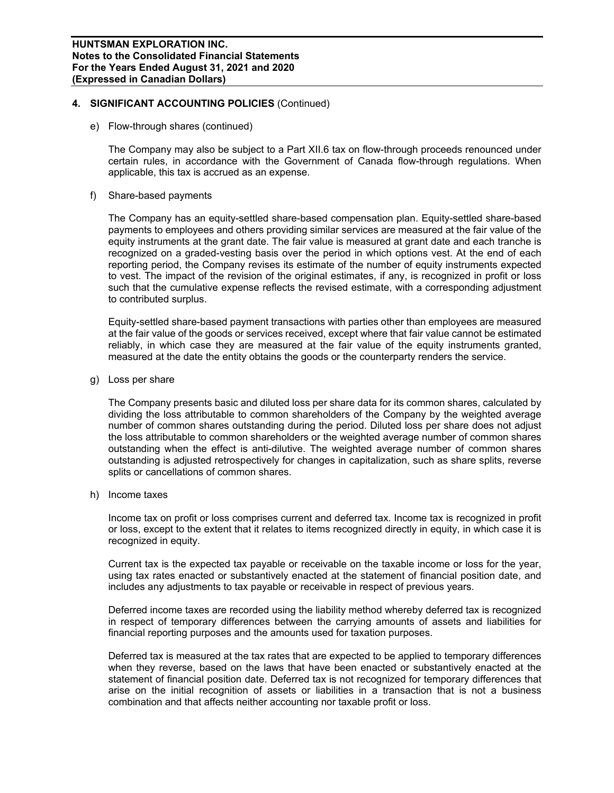e) Flow-through shares (continued)

The Company may also be subject to a Part XII.6 tax on flow-through proceeds renounced under certain rules, in accordance with the Government of Canada flow-through regulations. When applicable, this tax is accrued as an expense.

#### f) Share-based payments

The Company has an equity-settled share-based compensation plan. Equity-settled share-based payments to employees and others providing similar services are measured at the fair value of the equity instruments at the grant date. The fair value is measured at grant date and each tranche is recognized on a graded-vesting basis over the period in which options vest. At the end of each reporting period, the Company revises its estimate of the number of equity instruments expected to vest. The impact of the revision of the original estimates, if any, is recognized in profit or loss such that the cumulative expense reflects the revised estimate, with a corresponding adjustment to contributed surplus.

Equity-settled share-based payment transactions with parties other than employees are measured at the fair value of the goods or services received, except where that fair value cannot be estimated reliably, in which case they are measured at the fair value of the equity instruments granted, measured at the date the entity obtains the goods or the counterparty renders the service.

g) Loss per share

The Company presents basic and diluted loss per share data for its common shares, calculated by dividing the loss attributable to common shareholders of the Company by the weighted average number of common shares outstanding during the period. Diluted loss per share does not adjust the loss attributable to common shareholders or the weighted average number of common shares outstanding when the effect is anti-dilutive. The weighted average number of common shares outstanding is adjusted retrospectively for changes in capitalization, such as share splits, reverse splits or cancellations of common shares.

h) Income taxes

Income tax on profit or loss comprises current and deferred tax. Income tax is recognized in profit or loss, except to the extent that it relates to items recognized directly in equity, in which case it is recognized in equity.

Current tax is the expected tax payable or receivable on the taxable income or loss for the year, using tax rates enacted or substantively enacted at the statement of financial position date, and includes any adjustments to tax payable or receivable in respect of previous years.

Deferred income taxes are recorded using the liability method whereby deferred tax is recognized in respect of temporary differences between the carrying amounts of assets and liabilities for financial reporting purposes and the amounts used for taxation purposes.

Deferred tax is measured at the tax rates that are expected to be applied to temporary differences when they reverse, based on the laws that have been enacted or substantively enacted at the statement of financial position date. Deferred tax is not recognized for temporary differences that arise on the initial recognition of assets or liabilities in a transaction that is not a business combination and that affects neither accounting nor taxable profit or loss.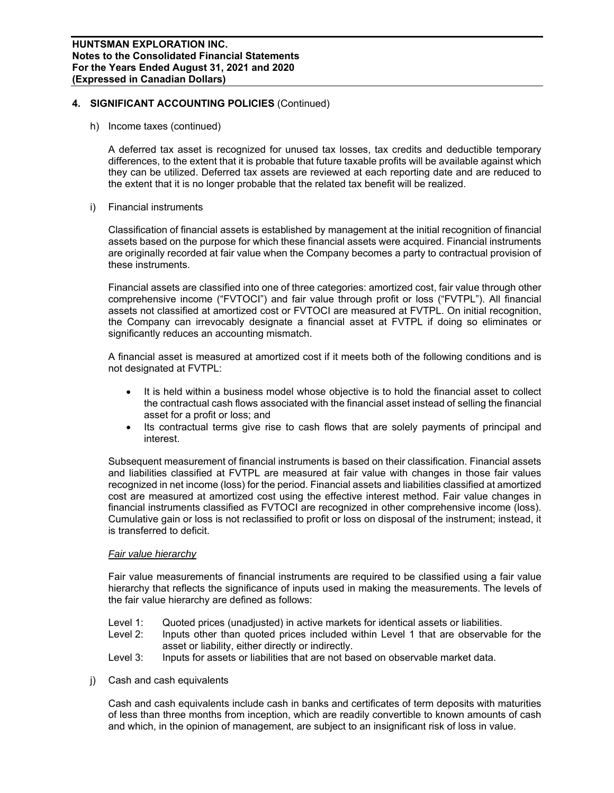h) Income taxes (continued)

A deferred tax asset is recognized for unused tax losses, tax credits and deductible temporary differences, to the extent that it is probable that future taxable profits will be available against which they can be utilized. Deferred tax assets are reviewed at each reporting date and are reduced to the extent that it is no longer probable that the related tax benefit will be realized.

i) Financial instruments

Classification of financial assets is established by management at the initial recognition of financial assets based on the purpose for which these financial assets were acquired. Financial instruments are originally recorded at fair value when the Company becomes a party to contractual provision of these instruments.

Financial assets are classified into one of three categories: amortized cost, fair value through other comprehensive income ("FVTOCI") and fair value through profit or loss ("FVTPL"). All financial assets not classified at amortized cost or FVTOCI are measured at FVTPL. On initial recognition, the Company can irrevocably designate a financial asset at FVTPL if doing so eliminates or significantly reduces an accounting mismatch.

A financial asset is measured at amortized cost if it meets both of the following conditions and is not designated at FVTPL:

- It is held within a business model whose objective is to hold the financial asset to collect the contractual cash flows associated with the financial asset instead of selling the financial asset for a profit or loss; and
- Its contractual terms give rise to cash flows that are solely payments of principal and interest.

Subsequent measurement of financial instruments is based on their classification. Financial assets and liabilities classified at FVTPL are measured at fair value with changes in those fair values recognized in net income (loss) for the period. Financial assets and liabilities classified at amortized cost are measured at amortized cost using the effective interest method. Fair value changes in financial instruments classified as FVTOCI are recognized in other comprehensive income (loss). Cumulative gain or loss is not reclassified to profit or loss on disposal of the instrument; instead, it is transferred to deficit.

#### *Fair value hierarchy*

Fair value measurements of financial instruments are required to be classified using a fair value hierarchy that reflects the significance of inputs used in making the measurements. The levels of the fair value hierarchy are defined as follows:

- Level 1: Quoted prices (unadjusted) in active markets for identical assets or liabilities.
- Level 2: Inputs other than quoted prices included within Level 1 that are observable for the asset or liability, either directly or indirectly.
- Level 3: Inputs for assets or liabilities that are not based on observable market data.
- j) Cash and cash equivalents

Cash and cash equivalents include cash in banks and certificates of term deposits with maturities of less than three months from inception, which are readily convertible to known amounts of cash and which, in the opinion of management, are subject to an insignificant risk of loss in value.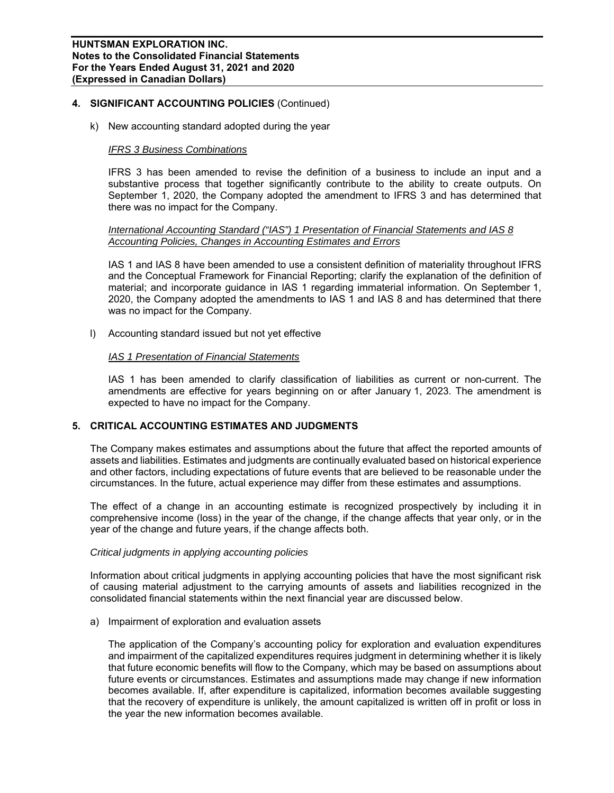k) New accounting standard adopted during the year

## *IFRS 3 Business Combinations*

IFRS 3 has been amended to revise the definition of a business to include an input and a substantive process that together significantly contribute to the ability to create outputs. On September 1, 2020, the Company adopted the amendment to IFRS 3 and has determined that there was no impact for the Company.

## *International Accounting Standard ("IAS") 1 Presentation of Financial Statements and IAS 8 Accounting Policies, Changes in Accounting Estimates and Errors*

IAS 1 and IAS 8 have been amended to use a consistent definition of materiality throughout IFRS and the Conceptual Framework for Financial Reporting; clarify the explanation of the definition of material; and incorporate guidance in IAS 1 regarding immaterial information. On September 1, 2020, the Company adopted the amendments to IAS 1 and IAS 8 and has determined that there was no impact for the Company.

l) Accounting standard issued but not yet effective

## *IAS 1 Presentation of Financial Statements*

IAS 1 has been amended to clarify classification of liabilities as current or non-current. The amendments are effective for years beginning on or after January 1, 2023. The amendment is expected to have no impact for the Company.

## **5. CRITICAL ACCOUNTING ESTIMATES AND JUDGMENTS**

The Company makes estimates and assumptions about the future that affect the reported amounts of assets and liabilities. Estimates and judgments are continually evaluated based on historical experience and other factors, including expectations of future events that are believed to be reasonable under the circumstances. In the future, actual experience may differ from these estimates and assumptions.

The effect of a change in an accounting estimate is recognized prospectively by including it in comprehensive income (loss) in the year of the change, if the change affects that year only, or in the year of the change and future years, if the change affects both.

#### *Critical judgments in applying accounting policies*

Information about critical judgments in applying accounting policies that have the most significant risk of causing material adjustment to the carrying amounts of assets and liabilities recognized in the consolidated financial statements within the next financial year are discussed below.

a) Impairment of exploration and evaluation assets

The application of the Company's accounting policy for exploration and evaluation expenditures and impairment of the capitalized expenditures requires judgment in determining whether it is likely that future economic benefits will flow to the Company, which may be based on assumptions about future events or circumstances. Estimates and assumptions made may change if new information becomes available. If, after expenditure is capitalized, information becomes available suggesting that the recovery of expenditure is unlikely, the amount capitalized is written off in profit or loss in the year the new information becomes available.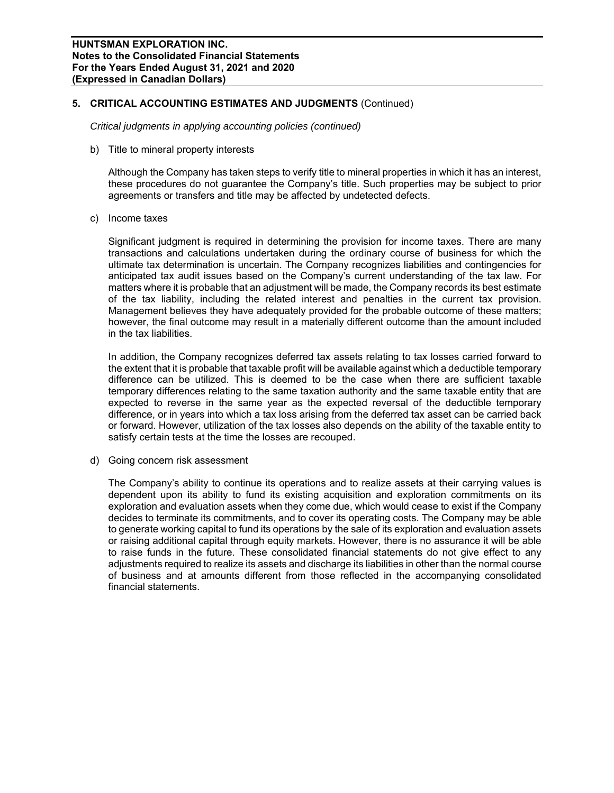## **5. CRITICAL ACCOUNTING ESTIMATES AND JUDGMENTS** (Continued)

*Critical judgments in applying accounting policies (continued)* 

b) Title to mineral property interests

Although the Company has taken steps to verify title to mineral properties in which it has an interest, these procedures do not guarantee the Company's title. Such properties may be subject to prior agreements or transfers and title may be affected by undetected defects.

c) Income taxes

Significant judgment is required in determining the provision for income taxes. There are many transactions and calculations undertaken during the ordinary course of business for which the ultimate tax determination is uncertain. The Company recognizes liabilities and contingencies for anticipated tax audit issues based on the Company's current understanding of the tax law. For matters where it is probable that an adjustment will be made, the Company records its best estimate of the tax liability, including the related interest and penalties in the current tax provision. Management believes they have adequately provided for the probable outcome of these matters; however, the final outcome may result in a materially different outcome than the amount included in the tax liabilities.

In addition, the Company recognizes deferred tax assets relating to tax losses carried forward to the extent that it is probable that taxable profit will be available against which a deductible temporary difference can be utilized. This is deemed to be the case when there are sufficient taxable temporary differences relating to the same taxation authority and the same taxable entity that are expected to reverse in the same year as the expected reversal of the deductible temporary difference, or in years into which a tax loss arising from the deferred tax asset can be carried back or forward. However, utilization of the tax losses also depends on the ability of the taxable entity to satisfy certain tests at the time the losses are recouped.

d) Going concern risk assessment

The Company's ability to continue its operations and to realize assets at their carrying values is dependent upon its ability to fund its existing acquisition and exploration commitments on its exploration and evaluation assets when they come due, which would cease to exist if the Company decides to terminate its commitments, and to cover its operating costs. The Company may be able to generate working capital to fund its operations by the sale of its exploration and evaluation assets or raising additional capital through equity markets. However, there is no assurance it will be able to raise funds in the future. These consolidated financial statements do not give effect to any adjustments required to realize its assets and discharge its liabilities in other than the normal course of business and at amounts different from those reflected in the accompanying consolidated financial statements.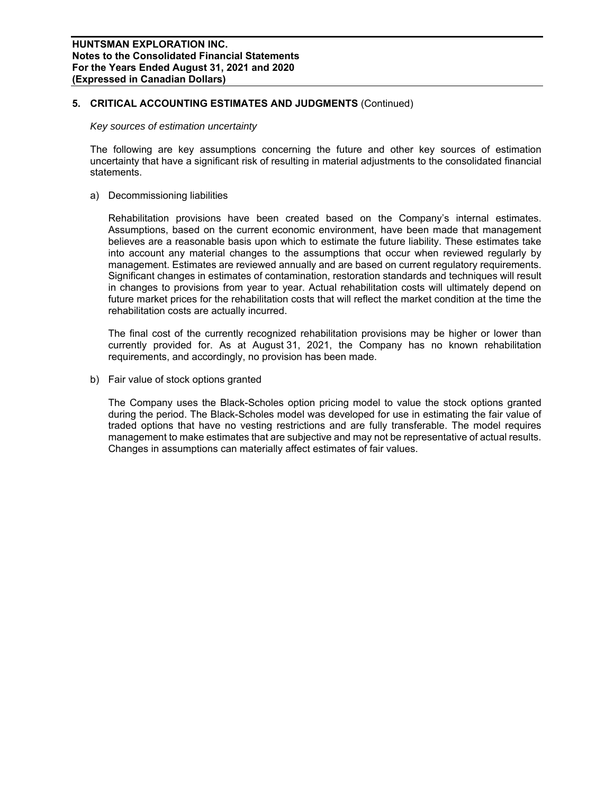# **5. CRITICAL ACCOUNTING ESTIMATES AND JUDGMENTS** (Continued)

## *Key sources of estimation uncertainty*

The following are key assumptions concerning the future and other key sources of estimation uncertainty that have a significant risk of resulting in material adjustments to the consolidated financial statements.

a) Decommissioning liabilities

Rehabilitation provisions have been created based on the Company's internal estimates. Assumptions, based on the current economic environment, have been made that management believes are a reasonable basis upon which to estimate the future liability. These estimates take into account any material changes to the assumptions that occur when reviewed regularly by management. Estimates are reviewed annually and are based on current regulatory requirements. Significant changes in estimates of contamination, restoration standards and techniques will result in changes to provisions from year to year. Actual rehabilitation costs will ultimately depend on future market prices for the rehabilitation costs that will reflect the market condition at the time the rehabilitation costs are actually incurred.

The final cost of the currently recognized rehabilitation provisions may be higher or lower than currently provided for. As at August 31, 2021, the Company has no known rehabilitation requirements, and accordingly, no provision has been made.

b) Fair value of stock options granted

The Company uses the Black-Scholes option pricing model to value the stock options granted during the period. The Black-Scholes model was developed for use in estimating the fair value of traded options that have no vesting restrictions and are fully transferable. The model requires management to make estimates that are subjective and may not be representative of actual results. Changes in assumptions can materially affect estimates of fair values.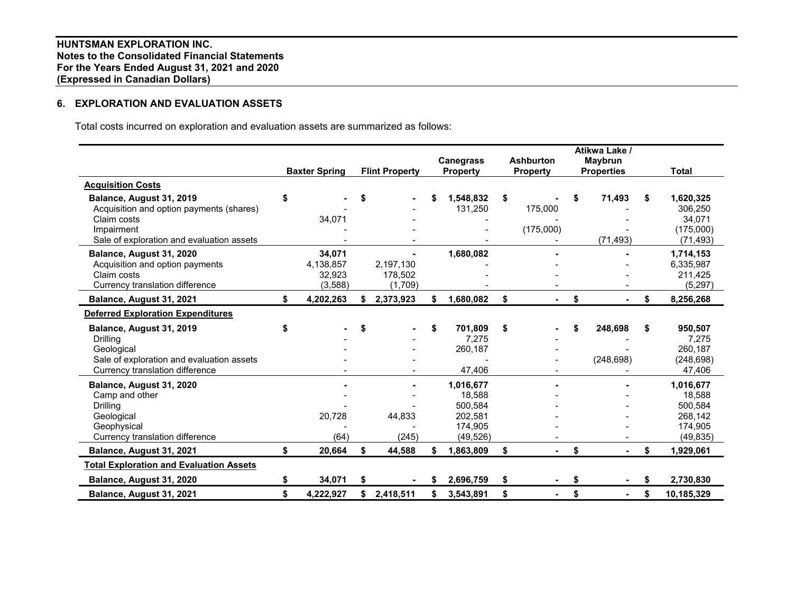## **6. EXPLORATION AND EVALUATION ASSETS**

Total costs incurred on exploration and evaluation assets are summarized as follows:

|                                                                                                                                                |    | <b>Baxter Spring</b>                      | <b>Flint Property</b>           |    | Canegrass<br><b>Property</b>                                      | <b>Ashburton</b><br><b>Property</b> |    | Atikwa Lake /<br><b>Maybrun</b><br><b>Properties</b> | <b>Total</b>                                                      |
|------------------------------------------------------------------------------------------------------------------------------------------------|----|-------------------------------------------|---------------------------------|----|-------------------------------------------------------------------|-------------------------------------|----|------------------------------------------------------|-------------------------------------------------------------------|
| <b>Acquisition Costs</b>                                                                                                                       |    |                                           |                                 |    |                                                                   |                                     |    |                                                      |                                                                   |
| Balance, August 31, 2019<br>Acquisition and option payments (shares)<br>Claim costs<br>Impairment<br>Sale of exploration and evaluation assets | \$ | 34,071                                    |                                 |    | 1,548,832<br>131,250                                              | \$<br>175,000<br>(175,000)          | \$ | 71,493<br>(71, 493)                                  | \$<br>1,620,325<br>306,250<br>34,071<br>(175,000)<br>(71, 493)    |
| Balance, August 31, 2020<br>Acquisition and option payments<br>Claim costs<br>Currency translation difference                                  |    | 34,071<br>4,138,857<br>32,923<br>(3, 588) | 2,197,130<br>178,502<br>(1,709) |    | 1,680,082                                                         |                                     |    |                                                      | 1,714,153<br>6,335,987<br>211,425<br>(5, 297)                     |
| Balance, August 31, 2021                                                                                                                       | \$ | 4,202,263                                 | \$<br>2,373,923                 | \$ | 1,680,082                                                         | \$                                  | \$ |                                                      | \$<br>8,256,268                                                   |
| <b>Deferred Exploration Expenditures</b>                                                                                                       |    |                                           |                                 |    |                                                                   |                                     |    |                                                      |                                                                   |
| Balance, August 31, 2019<br><b>Drilling</b><br>Geological<br>Sale of exploration and evaluation assets<br>Currency translation difference      | S  |                                           |                                 | \$ | 701,809<br>7,275<br>260,187<br>47,406                             | \$                                  |    | 248,698<br>(248, 698)                                | \$<br>950,507<br>7,275<br>260,187<br>(248, 698)<br>47,406         |
| Balance, August 31, 2020<br>Camp and other<br>Drilling<br>Geological<br>Geophysical<br>Currency translation difference                         |    | 20,728<br>(64)                            | 44,833<br>(245)                 |    | 1,016,677<br>18,588<br>500,584<br>202,581<br>174,905<br>(49, 526) |                                     |    |                                                      | 1,016,677<br>18,588<br>500,584<br>268,142<br>174,905<br>(49, 835) |
| Balance, August 31, 2021                                                                                                                       | \$ | 20,664                                    | \$<br>44,588                    | \$ | 1,863,809                                                         | \$                                  | \$ |                                                      | \$<br>1,929,061                                                   |
| <b>Total Exploration and Evaluation Assets</b>                                                                                                 |    |                                           |                                 |    |                                                                   |                                     |    |                                                      |                                                                   |
| Balance, August 31, 2020                                                                                                                       | \$ | 34,071                                    | \$                              | S  | 2,696,759                                                         | \$                                  | S  |                                                      | \$<br>2,730,830                                                   |
| Balance, August 31, 2021                                                                                                                       | \$ | 4,222,927                                 | \$<br>2,418,511                 | \$ | 3,543,891                                                         | \$                                  | \$ |                                                      | \$<br>10,185,329                                                  |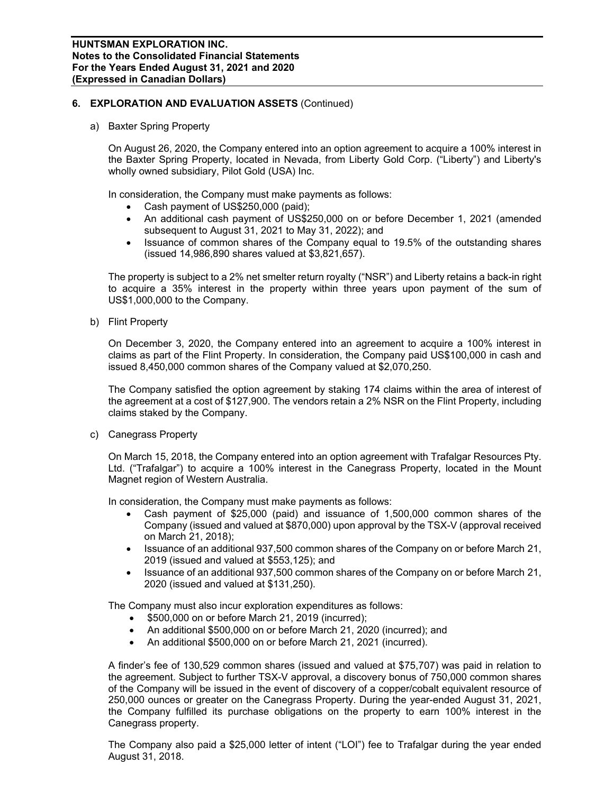# **6. EXPLORATION AND EVALUATION ASSETS** (Continued)

a) Baxter Spring Property

On August 26, 2020, the Company entered into an option agreement to acquire a 100% interest in the Baxter Spring Property, located in Nevada, from Liberty Gold Corp. ("Liberty") and Liberty's wholly owned subsidiary, Pilot Gold (USA) Inc.

In consideration, the Company must make payments as follows:

- Cash payment of US\$250,000 (paid);
- An additional cash payment of US\$250,000 on or before December 1, 2021 (amended subsequent to August 31, 2021 to May 31, 2022); and
- Issuance of common shares of the Company equal to 19.5% of the outstanding shares (issued 14,986,890 shares valued at \$3,821,657).

The property is subject to a 2% net smelter return royalty ("NSR") and Liberty retains a back-in right to acquire a 35% interest in the property within three years upon payment of the sum of US\$1,000,000 to the Company.

b) Flint Property

On December 3, 2020, the Company entered into an agreement to acquire a 100% interest in claims as part of the Flint Property. In consideration, the Company paid US\$100,000 in cash and issued 8,450,000 common shares of the Company valued at \$2,070,250.

The Company satisfied the option agreement by staking 174 claims within the area of interest of the agreement at a cost of \$127,900. The vendors retain a 2% NSR on the Flint Property, including claims staked by the Company.

c) Canegrass Property

On March 15, 2018, the Company entered into an option agreement with Trafalgar Resources Pty. Ltd. ("Trafalgar") to acquire a 100% interest in the Canegrass Property, located in the Mount Magnet region of Western Australia.

In consideration, the Company must make payments as follows:

- Cash payment of \$25,000 (paid) and issuance of 1,500,000 common shares of the Company (issued and valued at \$870,000) upon approval by the TSX-V (approval received on March 21, 2018);
- Issuance of an additional 937,500 common shares of the Company on or before March 21, 2019 (issued and valued at \$553,125); and
- Issuance of an additional 937,500 common shares of the Company on or before March 21, 2020 (issued and valued at \$131,250).

The Company must also incur exploration expenditures as follows:

- $\bullet$  \$500,000 on or before March 21, 2019 (incurred):
- An additional \$500,000 on or before March 21, 2020 (incurred); and
- An additional \$500,000 on or before March 21, 2021 (incurred).

A finder's fee of 130,529 common shares (issued and valued at \$75,707) was paid in relation to the agreement. Subject to further TSX-V approval, a discovery bonus of 750,000 common shares of the Company will be issued in the event of discovery of a copper/cobalt equivalent resource of 250,000 ounces or greater on the Canegrass Property. During the year-ended August 31, 2021, the Company fulfilled its purchase obligations on the property to earn 100% interest in the Canegrass property.

The Company also paid a \$25,000 letter of intent ("LOI") fee to Trafalgar during the year ended August 31, 2018.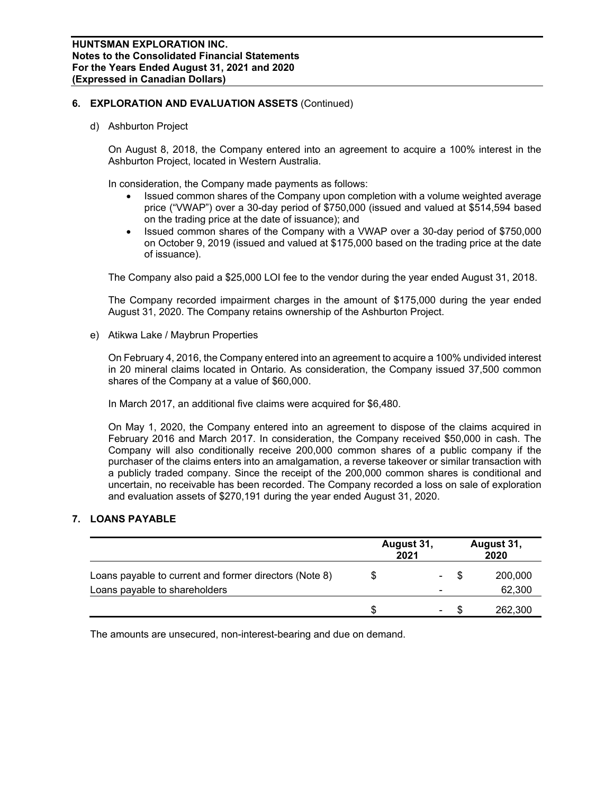## **6. EXPLORATION AND EVALUATION ASSETS** (Continued)

d) Ashburton Project

On August 8, 2018, the Company entered into an agreement to acquire a 100% interest in the Ashburton Project, located in Western Australia.

In consideration, the Company made payments as follows:

- Issued common shares of the Company upon completion with a volume weighted average price ("VWAP") over a 30-day period of \$750,000 (issued and valued at \$514,594 based on the trading price at the date of issuance); and
- Issued common shares of the Company with a VWAP over a 30-day period of \$750,000 on October 9, 2019 (issued and valued at \$175,000 based on the trading price at the date of issuance).

The Company also paid a \$25,000 LOI fee to the vendor during the year ended August 31, 2018.

The Company recorded impairment charges in the amount of \$175,000 during the year ended August 31, 2020. The Company retains ownership of the Ashburton Project.

e) Atikwa Lake / Maybrun Properties

On February 4, 2016, the Company entered into an agreement to acquire a 100% undivided interest in 20 mineral claims located in Ontario. As consideration, the Company issued 37,500 common shares of the Company at a value of \$60,000.

In March 2017, an additional five claims were acquired for \$6,480.

On May 1, 2020, the Company entered into an agreement to dispose of the claims acquired in February 2016 and March 2017. In consideration, the Company received \$50,000 in cash. The Company will also conditionally receive 200,000 common shares of a public company if the purchaser of the claims enters into an amalgamation, a reverse takeover or similar transaction with a publicly traded company. Since the receipt of the 200,000 common shares is conditional and uncertain, no receivable has been recorded. The Company recorded a loss on sale of exploration and evaluation assets of \$270,191 during the year ended August 31, 2020.

# **7. LOANS PAYABLE**

|                                                        | 2021 | August 31,               | August 31,<br>2020 |
|--------------------------------------------------------|------|--------------------------|--------------------|
| Loans payable to current and former directors (Note 8) |      |                          | 200,000            |
| Loans payable to shareholders                          |      | $\overline{\phantom{0}}$ | 62,300             |
|                                                        |      | $\blacksquare$           | 262,300            |

The amounts are unsecured, non-interest-bearing and due on demand.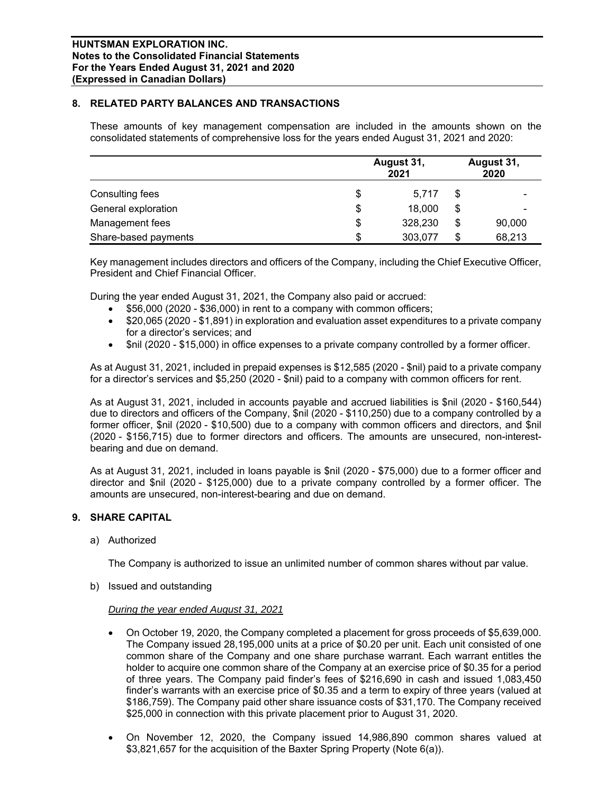## **8. RELATED PARTY BALANCES AND TRANSACTIONS**

These amounts of key management compensation are included in the amounts shown on the consolidated statements of comprehensive loss for the years ended August 31, 2021 and 2020:

|                      | August 31,<br>2021 |    |        |  |
|----------------------|--------------------|----|--------|--|
| Consulting fees      | \$<br>5.717        | S  |        |  |
| General exploration  | \$<br>18,000       | \$ |        |  |
| Management fees      | \$<br>328,230      | \$ | 90,000 |  |
| Share-based payments | \$<br>303,077      | \$ | 68,213 |  |

Key management includes directors and officers of the Company, including the Chief Executive Officer, President and Chief Financial Officer.

During the year ended August 31, 2021, the Company also paid or accrued:

- \$56,000 (2020 \$36,000) in rent to a company with common officers;
- \$20,065 (2020 \$1,891) in exploration and evaluation asset expenditures to a private company for a director's services; and
- \$nil (2020 \$15,000) in office expenses to a private company controlled by a former officer.

As at August 31, 2021, included in prepaid expenses is \$12,585 (2020 - \$nil) paid to a private company for a director's services and \$5,250 (2020 - \$nil) paid to a company with common officers for rent.

As at August 31, 2021, included in accounts payable and accrued liabilities is \$nil (2020 - \$160,544) due to directors and officers of the Company, \$nil (2020 - \$110,250) due to a company controlled by a former officer, \$nil (2020 - \$10,500) due to a company with common officers and directors, and \$nil (2020 - \$156,715) due to former directors and officers. The amounts are unsecured, non-interestbearing and due on demand.

As at August 31, 2021, included in loans payable is \$nil (2020 - \$75,000) due to a former officer and director and \$nil (2020 - \$125,000) due to a private company controlled by a former officer. The amounts are unsecured, non-interest-bearing and due on demand.

# **9. SHARE CAPITAL**

a) Authorized

The Company is authorized to issue an unlimited number of common shares without par value.

b) Issued and outstanding

## *During the year ended August 31, 2021*

- On October 19, 2020, the Company completed a placement for gross proceeds of \$5,639,000. The Company issued 28,195,000 units at a price of \$0.20 per unit. Each unit consisted of one common share of the Company and one share purchase warrant. Each warrant entitles the holder to acquire one common share of the Company at an exercise price of \$0.35 for a period of three years. The Company paid finder's fees of \$216,690 in cash and issued 1,083,450 finder's warrants with an exercise price of \$0.35 and a term to expiry of three years (valued at \$186,759). The Company paid other share issuance costs of \$31,170. The Company received \$25,000 in connection with this private placement prior to August 31, 2020.
- On November 12, 2020, the Company issued 14,986,890 common shares valued at \$3,821,657 for the acquisition of the Baxter Spring Property (Note 6(a)).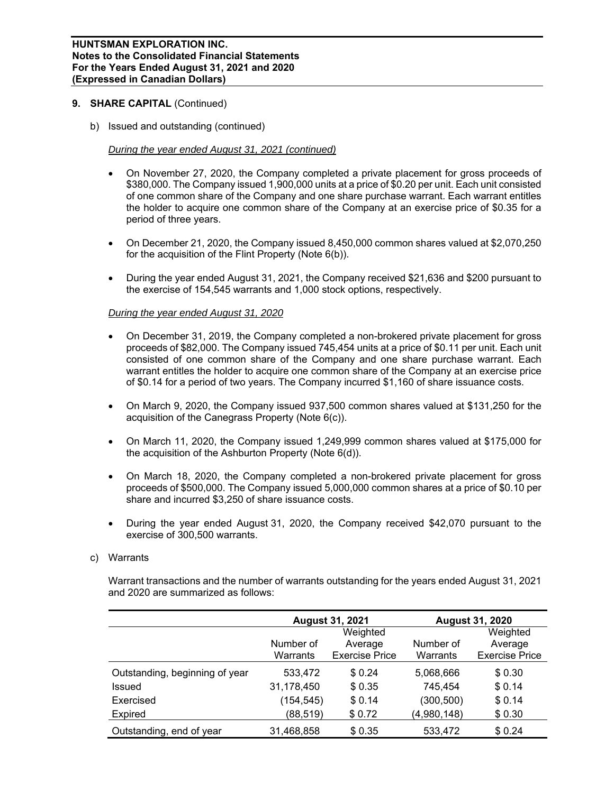## **9. SHARE CAPITAL (Continued)**

b) Issued and outstanding (continued)

## *During the year ended August 31, 2021 (continued)*

- On November 27, 2020, the Company completed a private placement for gross proceeds of \$380,000. The Company issued 1,900,000 units at a price of \$0.20 per unit. Each unit consisted of one common share of the Company and one share purchase warrant. Each warrant entitles the holder to acquire one common share of the Company at an exercise price of \$0.35 for a period of three years.
- On December 21, 2020, the Company issued 8,450,000 common shares valued at \$2,070,250 for the acquisition of the Flint Property (Note 6(b)).
- During the year ended August 31, 2021, the Company received \$21,636 and \$200 pursuant to the exercise of 154,545 warrants and 1,000 stock options, respectively.

## *During the year ended August 31, 2020*

- On December 31, 2019, the Company completed a non-brokered private placement for gross proceeds of \$82,000. The Company issued 745,454 units at a price of \$0.11 per unit. Each unit consisted of one common share of the Company and one share purchase warrant. Each warrant entitles the holder to acquire one common share of the Company at an exercise price of \$0.14 for a period of two years. The Company incurred \$1,160 of share issuance costs.
- On March 9, 2020, the Company issued 937,500 common shares valued at \$131,250 for the acquisition of the Canegrass Property (Note 6(c)).
- On March 11, 2020, the Company issued 1,249,999 common shares valued at \$175,000 for the acquisition of the Ashburton Property (Note 6(d)).
- On March 18, 2020, the Company completed a non-brokered private placement for gross proceeds of \$500,000. The Company issued 5,000,000 common shares at a price of \$0.10 per share and incurred \$3,250 of share issuance costs.
- During the year ended August 31, 2020, the Company received \$42,070 pursuant to the exercise of 300,500 warrants.

#### c) Warrants

Warrant transactions and the number of warrants outstanding for the years ended August 31, 2021 and 2020 are summarized as follows:

|                                |            | <b>August 31, 2021</b> |             | <b>August 31, 2020</b> |
|--------------------------------|------------|------------------------|-------------|------------------------|
|                                |            | Weighted               |             | Weighted               |
|                                | Number of  | Average                | Number of   | Average                |
|                                | Warrants   | <b>Exercise Price</b>  | Warrants    | <b>Exercise Price</b>  |
| Outstanding, beginning of year | 533.472    | \$0.24                 | 5,068,666   | \$0.30                 |
| Issued                         | 31,178,450 | \$0.35                 | 745,454     | \$0.14                 |
| Exercised                      | (154, 545) | \$0.14                 | (300, 500)  | \$0.14                 |
| <b>Expired</b>                 | (88, 519)  | \$0.72                 | (4,980,148) | \$0.30                 |
| Outstanding, end of year       | 31,468,858 | \$0.35                 | 533,472     | \$0.24                 |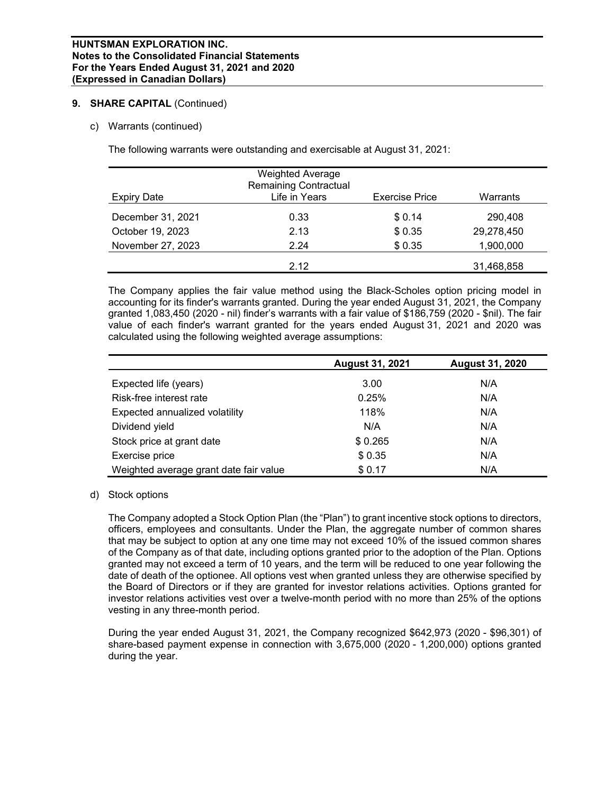## **HUNTSMAN EXPLORATION INC. Notes to the Consolidated Financial Statements For the Years Ended August 31, 2021 and 2020 (Expressed in Canadian Dollars)**

# **9. SHARE CAPITAL (Continued)**

# c) Warrants (continued)

The following warrants were outstanding and exercisable at August 31, 2021:

|                    | <b>Weighted Average</b>                       |                       |            |
|--------------------|-----------------------------------------------|-----------------------|------------|
| <b>Expiry Date</b> | <b>Remaining Contractual</b><br>Life in Years | <b>Exercise Price</b> | Warrants   |
| December 31, 2021  | 0.33                                          | \$0.14                | 290,408    |
| October 19, 2023   | 2.13                                          | \$0.35                | 29,278,450 |
| November 27, 2023  | 2.24                                          | \$0.35                | 1,900,000  |
|                    | 2.12                                          |                       | 31,468,858 |

The Company applies the fair value method using the Black-Scholes option pricing model in accounting for its finder's warrants granted. During the year ended August 31, 2021, the Company granted 1,083,450 (2020 - nil) finder's warrants with a fair value of \$186,759 (2020 - \$nil). The fair value of each finder's warrant granted for the years ended August 31, 2021 and 2020 was calculated using the following weighted average assumptions:

|                                        | <b>August 31, 2021</b> | <b>August 31, 2020</b> |
|----------------------------------------|------------------------|------------------------|
| Expected life (years)                  | 3.00                   | N/A                    |
| Risk-free interest rate                | 0.25%                  | N/A                    |
| Expected annualized volatility         | 118%                   | N/A                    |
| Dividend yield                         | N/A                    | N/A                    |
| Stock price at grant date              | \$0.265                | N/A                    |
| Exercise price                         | \$0.35                 | N/A                    |
| Weighted average grant date fair value | \$0.17                 | N/A                    |

## d) Stock options

The Company adopted a Stock Option Plan (the "Plan") to grant incentive stock options to directors, officers, employees and consultants. Under the Plan, the aggregate number of common shares that may be subject to option at any one time may not exceed 10% of the issued common shares of the Company as of that date, including options granted prior to the adoption of the Plan. Options granted may not exceed a term of 10 years, and the term will be reduced to one year following the date of death of the optionee. All options vest when granted unless they are otherwise specified by the Board of Directors or if they are granted for investor relations activities. Options granted for investor relations activities vest over a twelve-month period with no more than 25% of the options vesting in any three-month period.

During the year ended August 31, 2021, the Company recognized \$642,973 (2020 - \$96,301) of share-based payment expense in connection with 3,675,000 (2020 - 1,200,000) options granted during the year.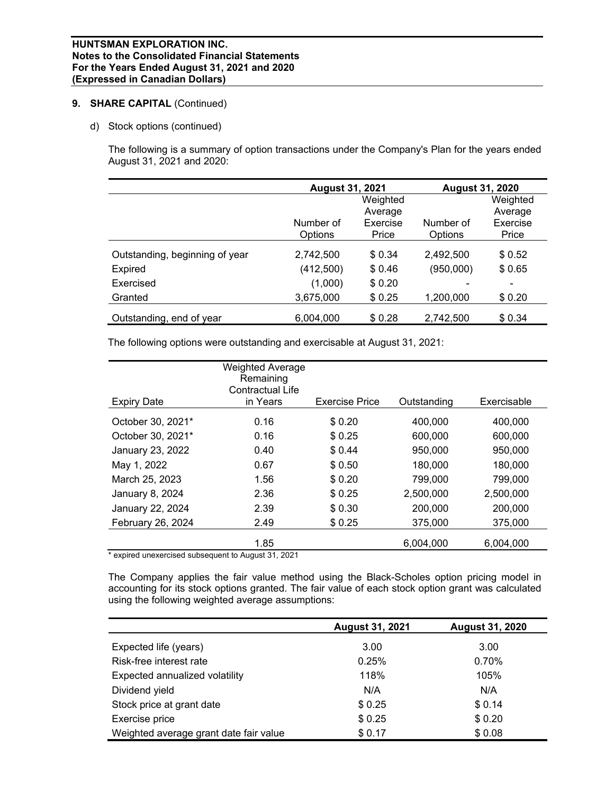# **9. SHARE CAPITAL (Continued)**

d) Stock options (continued)

The following is a summary of option transactions under the Company's Plan for the years ended August 31, 2021 and 2020:

|                                | <b>August 31, 2021</b> |          | <b>August 31, 2020</b> |                |
|--------------------------------|------------------------|----------|------------------------|----------------|
|                                |                        | Weighted |                        | Weighted       |
|                                |                        | Average  |                        | Average        |
|                                | Number of              | Exercise | Number of              | Exercise       |
|                                | Options                | Price    | Options                | Price          |
| Outstanding, beginning of year | 2,742,500              | \$0.34   | 2,492,500              | \$0.52         |
| Expired                        | (412,500)              | \$0.46   | (950,000)              | \$0.65         |
| Exercised                      | (1,000)                | \$0.20   |                        | $\blacksquare$ |
| Granted                        | 3,675,000              | \$0.25   | 1,200,000              | \$0.20         |
| Outstanding, end of year       | 6,004,000              | \$0.28   | 2,742,500              | \$0.34         |

The following options were outstanding and exercisable at August 31, 2021:

|                    | <b>Weighted Average</b><br>Remaining<br><b>Contractual Life</b> |                       |             |             |
|--------------------|-----------------------------------------------------------------|-----------------------|-------------|-------------|
| <b>Expiry Date</b> | in Years                                                        | <b>Exercise Price</b> | Outstanding | Exercisable |
| October 30, 2021*  | 0.16                                                            | \$0.20                | 400,000     | 400,000     |
| October 30, 2021*  | 0.16                                                            | \$0.25                | 600,000     | 600,000     |
| January 23, 2022   | 0.40                                                            | \$0.44                | 950,000     | 950,000     |
| May 1, 2022        | 0.67                                                            | \$0.50                | 180,000     | 180,000     |
| March 25, 2023     | 1.56                                                            | \$0.20                | 799,000     | 799,000     |
| January 8, 2024    | 2.36                                                            | \$0.25                | 2,500,000   | 2,500,000   |
| January 22, 2024   | 2.39                                                            | \$0.30                | 200,000     | 200,000     |
| February 26, 2024  | 2.49                                                            | \$0.25                | 375,000     | 375,000     |
|                    | 1.85                                                            |                       | 6,004,000   | 6,004,000   |

\* expired unexercised subsequent to August 31, 2021

The Company applies the fair value method using the Black-Scholes option pricing model in accounting for its stock options granted. The fair value of each stock option grant was calculated using the following weighted average assumptions:

|                                        | <b>August 31, 2021</b> | <b>August 31, 2020</b> |
|----------------------------------------|------------------------|------------------------|
| Expected life (years)                  | 3.00                   | 3.00                   |
| Risk-free interest rate                | 0.25%                  | 0.70%                  |
| Expected annualized volatility         | 118%                   | 105%                   |
| Dividend yield                         | N/A                    | N/A                    |
| Stock price at grant date              | \$0.25                 | \$0.14                 |
| Exercise price                         | \$0.25                 | \$0.20                 |
| Weighted average grant date fair value | \$0.17                 | \$0.08                 |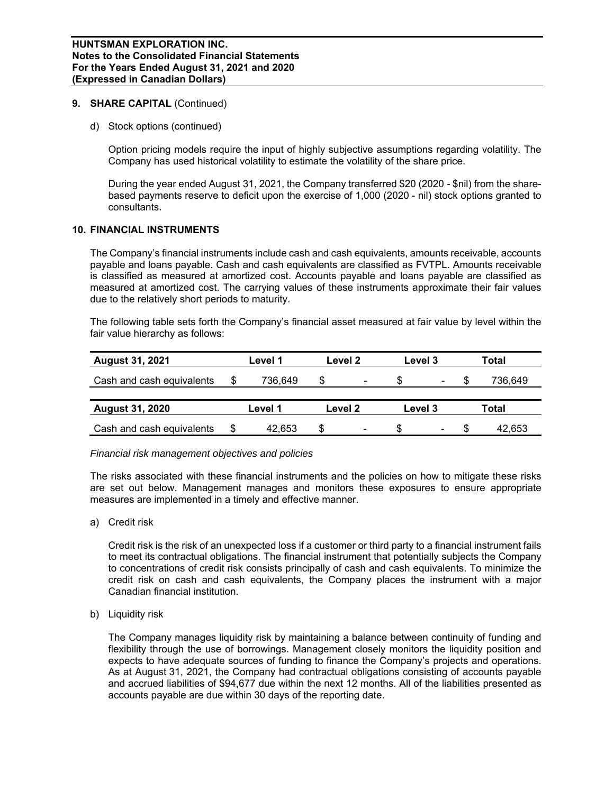## **9. SHARE CAPITAL (Continued)**

d) Stock options (continued)

Option pricing models require the input of highly subjective assumptions regarding volatility. The Company has used historical volatility to estimate the volatility of the share price.

During the year ended August 31, 2021, the Company transferred \$20 (2020 - \$nil) from the sharebased payments reserve to deficit upon the exercise of 1,000 (2020 - nil) stock options granted to consultants.

## **10. FINANCIAL INSTRUMENTS**

The Company's financial instruments include cash and cash equivalents, amounts receivable, accounts payable and loans payable. Cash and cash equivalents are classified as FVTPL. Amounts receivable is classified as measured at amortized cost. Accounts payable and loans payable are classified as measured at amortized cost. The carrying values of these instruments approximate their fair values due to the relatively short periods to maturity.

The following table sets forth the Company's financial asset measured at fair value by level within the fair value hierarchy as follows:

| <b>August 31, 2021</b>    |     | Level 1 | Level 2<br>Level 3 |                          | Total          |    |         |
|---------------------------|-----|---------|--------------------|--------------------------|----------------|----|---------|
| Cash and cash equivalents | S   | 736.649 | S                  | $\overline{\phantom{0}}$ | ۰              |    | 736.649 |
|                           |     |         |                    |                          |                |    |         |
| <b>August 31, 2020</b>    |     | Level 1 |                    | Level 2                  | <b>Level 3</b> |    | Total   |
| Cash and cash equivalents | \$. | 42.653  | \$                 | $\blacksquare$           | -              | æ. | 42.653  |

#### *Financial risk management objectives and policies*

The risks associated with these financial instruments and the policies on how to mitigate these risks are set out below. Management manages and monitors these exposures to ensure appropriate measures are implemented in a timely and effective manner.

a) Credit risk

Credit risk is the risk of an unexpected loss if a customer or third party to a financial instrument fails to meet its contractual obligations. The financial instrument that potentially subjects the Company to concentrations of credit risk consists principally of cash and cash equivalents. To minimize the credit risk on cash and cash equivalents, the Company places the instrument with a major Canadian financial institution.

b) Liquidity risk

The Company manages liquidity risk by maintaining a balance between continuity of funding and flexibility through the use of borrowings. Management closely monitors the liquidity position and expects to have adequate sources of funding to finance the Company's projects and operations. As at August 31, 2021, the Company had contractual obligations consisting of accounts payable and accrued liabilities of \$94,677 due within the next 12 months. All of the liabilities presented as accounts payable are due within 30 days of the reporting date.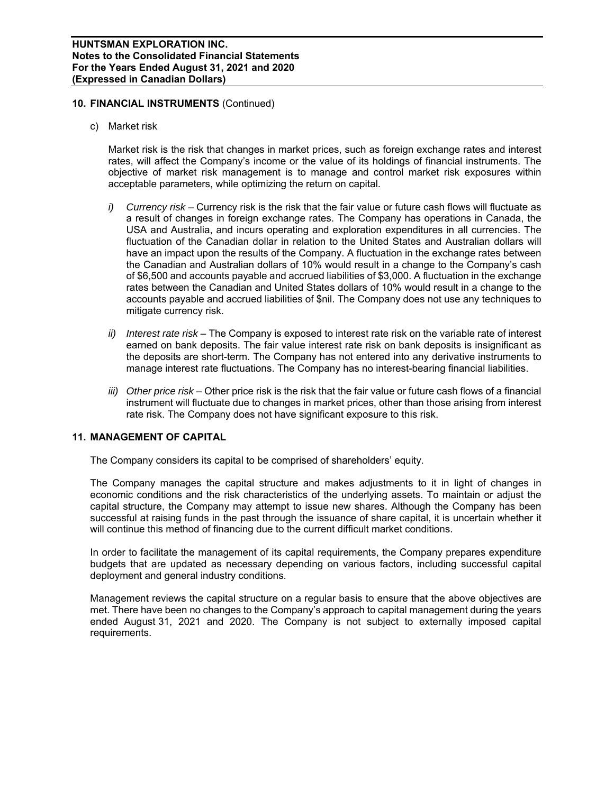## **10. FINANCIAL INSTRUMENTS** (Continued)

c) Market risk

Market risk is the risk that changes in market prices, such as foreign exchange rates and interest rates, will affect the Company's income or the value of its holdings of financial instruments. The objective of market risk management is to manage and control market risk exposures within acceptable parameters, while optimizing the return on capital.

- *i) Currency risk* Currency risk is the risk that the fair value or future cash flows will fluctuate as a result of changes in foreign exchange rates. The Company has operations in Canada, the USA and Australia, and incurs operating and exploration expenditures in all currencies. The fluctuation of the Canadian dollar in relation to the United States and Australian dollars will have an impact upon the results of the Company. A fluctuation in the exchange rates between the Canadian and Australian dollars of 10% would result in a change to the Company's cash of \$6,500 and accounts payable and accrued liabilities of \$3,000. A fluctuation in the exchange rates between the Canadian and United States dollars of 10% would result in a change to the accounts payable and accrued liabilities of \$nil. The Company does not use any techniques to mitigate currency risk.
- *ii) Interest rate risk* The Company is exposed to interest rate risk on the variable rate of interest earned on bank deposits. The fair value interest rate risk on bank deposits is insignificant as the deposits are short-term. The Company has not entered into any derivative instruments to manage interest rate fluctuations. The Company has no interest-bearing financial liabilities.
- *iii) Other price risk* Other price risk is the risk that the fair value or future cash flows of a financial instrument will fluctuate due to changes in market prices, other than those arising from interest rate risk. The Company does not have significant exposure to this risk.

## **11. MANAGEMENT OF CAPITAL**

The Company considers its capital to be comprised of shareholders' equity.

The Company manages the capital structure and makes adjustments to it in light of changes in economic conditions and the risk characteristics of the underlying assets. To maintain or adjust the capital structure, the Company may attempt to issue new shares. Although the Company has been successful at raising funds in the past through the issuance of share capital, it is uncertain whether it will continue this method of financing due to the current difficult market conditions.

In order to facilitate the management of its capital requirements, the Company prepares expenditure budgets that are updated as necessary depending on various factors, including successful capital deployment and general industry conditions.

Management reviews the capital structure on a regular basis to ensure that the above objectives are met. There have been no changes to the Company's approach to capital management during the years ended August 31, 2021 and 2020. The Company is not subject to externally imposed capital requirements.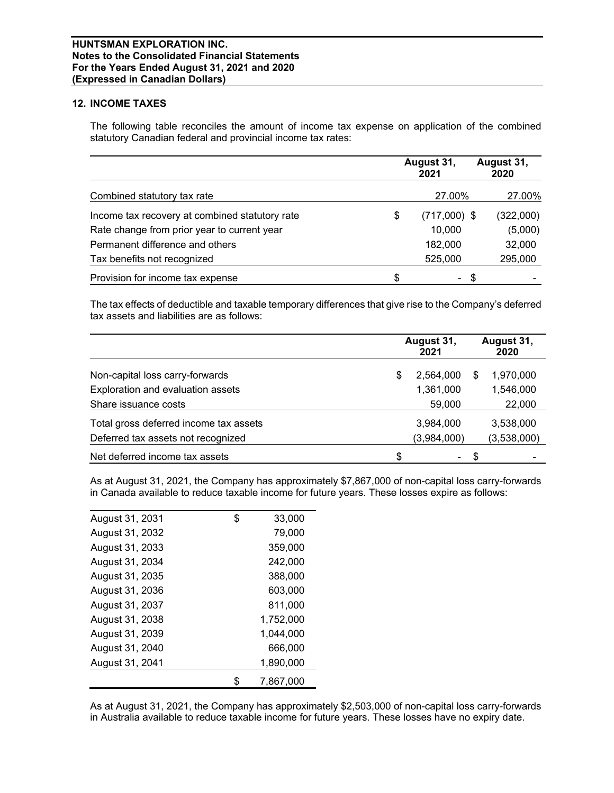## **12. INCOME TAXES**

The following table reconciles the amount of income tax expense on application of the combined statutory Canadian federal and provincial income tax rates:

| Combined statutory tax rate                    |    | August 31,<br>2021 | August 31,<br>2020 |  |  |
|------------------------------------------------|----|--------------------|--------------------|--|--|
|                                                |    | 27.00%             | 27.00%             |  |  |
| Income tax recovery at combined statutory rate | \$ | $(717,000)$ \$     | (322,000)          |  |  |
| Rate change from prior year to current year    |    | 10,000             | (5,000)            |  |  |
| Permanent difference and others                |    | 182,000            | 32,000             |  |  |
| Tax benefits not recognized                    |    | 525,000            | 295,000            |  |  |
| Provision for income tax expense               | \$ | - 35<br>$\sim$     |                    |  |  |

The tax effects of deductible and taxable temporary differences that give rise to the Company's deferred tax assets and liabilities are as follows:

|                                        | August 31,<br>2021 |                |     | August 31,<br>2020 |  |  |
|----------------------------------------|--------------------|----------------|-----|--------------------|--|--|
| Non-capital loss carry-forwards        | S                  | 2,564,000      | S   | 1,970,000          |  |  |
| Exploration and evaluation assets      |                    | 1,361,000      |     | 1,546,000          |  |  |
| Share issuance costs                   |                    | 59,000         |     | 22,000             |  |  |
| Total gross deferred income tax assets |                    | 3,984,000      |     | 3,538,000          |  |  |
| Deferred tax assets not recognized     |                    | (3,984,000)    |     | (3,538,000)        |  |  |
| Net deferred income tax assets         | \$                 | $\blacksquare$ | \$. |                    |  |  |

As at August 31, 2021, the Company has approximately \$7,867,000 of non-capital loss carry-forwards in Canada available to reduce taxable income for future years. These losses expire as follows:

| August 31, 2031 | \$ | 33,000    |
|-----------------|----|-----------|
| August 31, 2032 |    | 79,000    |
| August 31, 2033 |    | 359,000   |
| August 31, 2034 |    | 242,000   |
| August 31, 2035 |    | 388,000   |
| August 31, 2036 |    | 603,000   |
| August 31, 2037 |    | 811,000   |
| August 31, 2038 |    | 1,752,000 |
| August 31, 2039 |    | 1,044,000 |
| August 31, 2040 |    | 666.000   |
| August 31, 2041 |    | 1,890,000 |
|                 | S  | 7.867.000 |

As at August 31, 2021, the Company has approximately \$2,503,000 of non-capital loss carry-forwards in Australia available to reduce taxable income for future years. These losses have no expiry date.